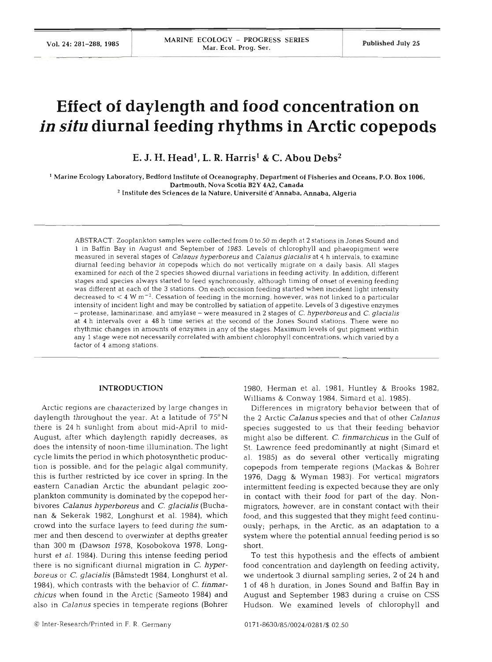# **Effect of daylength and food concentration on in situ diurnal feeding rhythms in Arctic copepods**

**E. J. H. Head1, L. R. Harrisl** & *C.* **Abou** Debs2

 $^1$  Marine Ecology Laboratory, Bedford Institute of Oceanography, Department of Fisheries and Oceans, P.O. Box 1006, Dartmouth. Nova Scotia B2Y 4A2, Canada <sup>2</sup> Institute des Sciences de la Nature, Université d'Annaba, Annaba, Algeria

ABSTRACT: Zooplankton samples were collected from 0 to 50 m depth at **2** stations in Jones Sound and 1 in Baffin Bay in August and September of 1983. Levels of chlorophyll and phaeopigment were measured in several stages of *Calanus hyperboreus* and *Calanus glacialis* at *4* h intervals, to examine diurnal feeding behavior in copepods which do not vertically migrate on a daily basis. All stages examined for each of the 2 species showed diurnal variations in feeding activity. In addition, different stages and species always started to feed synchronously, although timing of onset of evening feeding was different at each of the **3** stations. On each occasion feeding started when incident light intensity decreased to < **4** W **m-2.** Cessation of feeding in the morning, however, was not linked to a particular intensity of incident light and may be controlled by satiation of appetite. Levels of **3** digestive enzymes - protease, laminarinase, and amylase - were measured in 2 stages of C. *hyperboreus* and *C. glacialis*  at *4* h intervals over a **48** h time series at the second of the Jones Sound stations. There were no rhythmic changes in amounts of enzymes in any of the stages. Maximum levels of gut pigment within any 1 stage were not necessarily correlated with ambient chlorophyll concentrations, which varied by a factor of **4** among stations.

## **INTRODUCTION**

Arctic regions are characterized by large changes in daylength throughout the year. At a latitude of 75°N there is 24 h sunlight from about mid-April to mid-August, after which daylength rapidly decreases, as does the intensity of noon-time illumination. The light cycle limits the period in which photosynthetic production is possible, and for the pelagic algal community, this is further restricted by ice cover in spring. In the eastern Canadian Arctic the abundant pelagic zooplankton community is dominated by the copepod herbivores *Calanus hyperboreus* and *C. glacialis* (Buchanan & Sekerak 1982, Longhurst et al. 1984), which crowd into the surface layers to feed during the summer and then descend to overwinter at depths greater than 300 m (Dawson 1978, Kosobokova 1978, Longhurst et al. 1984). During this intense feeding period there is no significant diurnal migration in *C. hyperboreus or C. glacialis* (Båmstedt 1984, Longhurst et al. 1984), which contrasts with the behavior of C. *finmarchicus* when found in the Arctic (Sameoto 1984) and also in *Calanus* species in temperate regions (Bohrer

1980, Herman et al. 1981, Huntley & Brooks 1982, Williams & Conway 1984, Simard et al. 1985).

Differences in migratory behavior between that of the 2 Arctic *Calanus* species and that of other *Calanus*  species suggested to us that their feeding behavior might also be different. *C. finmarchicus* in the Gulf of St. Lawrence feed predominantly at night (Simard et al. 1985) as do several other vertically migrating copepods from temperate regions (Mackas & Bohrer 1976, Dagg & Wyman 1983). For vertical migrators intermittent feeding is expected because they are only in contact with their food for part of the day. Nonmigrators, however, are in constant contact with their food, and this suggested that they might feed continuously; perhaps, in the Arctic, as an adaptation to a system where the potential annual feeding period is so short.

To test this hypothesis and the effects of ambient food concentration and daylength on feeding activity, we undertook 3 diurnal sampling series, 2 of 24 h and 1 of 48 h duration, in Jones Sound and Baffin Bay in August and September 1983 during a cruise on CSS Hudson. We examined levels of chlorophyll and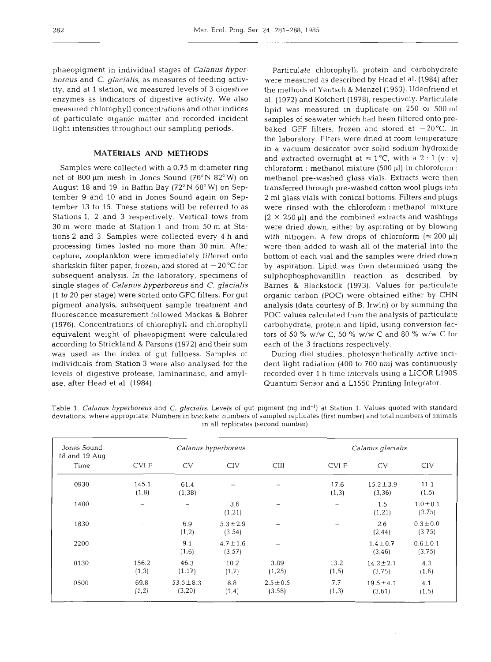phaeopigment in individual stages of *Calanus hyperboreus* and *C. glacialis,* as measures of feeding activity, and at 1 station, we measured levels of 3 digestive enzymes as indicators of digestive activity. We also measured chlorophyll concentrations and other indices of particulate organic matter and recorded incident light intensities throughout our sampling periods.

## **MATERIALS AND METHODS**

Samples were collected with a 0.75 m diameter ring net of 800 μm mesh in Jones Sound (76°N 82°W) on August 18 and 19, in Baffin Bay (72"N 68" W) on September 9 and 10 and in Jones Sound again on September 13 to 15. These stations will be referred to as Stations 1, 2 and 3 respectively. Vertical tows from 30 m were made at Station 1 and from 50 m at Stations 2 and **3.** Samples were collected every 4 h and processing times lasted no more than 30 min. After capture, zooplankton were immediately filtered onto sharkskin filter paper, frozen, and stored at  $-20^{\circ}$ C for subsequent analysis. In the laboratory, specimens of single stages of *Calanus hyperboreus* and *C. glacialis*  (1 to 20 per stage) were sorted onto GFC filters. For gut pigment analysis, subsequent sample treatment and fluorescence measurement followed Mackas & Bohrer (1976). Concentrations of chlorophyll and chlorophyll equivalent weight of phaeopigment were calculated according to Strickland & Parsons (1972) and their sum was used as the index of gut fullness. Samples of individuals from Station 3 were also analysed for the levels of digestive protease, laminarinase, and amylase, after Head et al. (1984).

Particulate chlorophyll, protein and carbohydrate were measured as described by Head et al. (1984) after the methods of Yentsch & Menzel(1963), Udenfriend et al. (1972) and Kotchert (1978), respectively. Particulate lipid was measured in duplicate on 250 or 500 m1 samples of seawater which had been filtered onto prebaked GFF filters, frozen and stored at  $-20^{\circ}$ C. In the laboratory, filters were dried at room temperature in a vacuum desiccator over solid sodium hydroxide and extracted overnight at  $\approx 1$  °C, with a 2 : 1 (v : v) chloroform : methanol mixture  $(500 \mu l)$  in chloroform : methanol pre-washed glass vials. Extracts were then transferred through pre-washed cotton wool plugs into 2 m1 glass vials with conical bottoms. Filters and plugs were rinsed with the chloroform : methanol mixture  $(2 \times 250 \,\mu$ ) and the combined extracts and washings were dried down, either by aspirating or by blowing with nitrogen. A few drops of chloroform  $(\approx 200 \,\mu\text{I})$ were then added to wash all of the material into the bottom of each vial and the samples were dried down by aspiration. Lipid was then determined using the sulphophosphovanillin reaction as described by Barnes & Blackstock (1973). Values for particulate organic carbon (POC) were obtained either by CHN analysis (data courtesy of B. Irwin) or by summing the POC values calculated from the analysis of particulate carbohydrate, protein and lipid, using conversion factors of 50 % w/w C, 50 % w/w C and 80 % w/w C for each of the 3 fractions respectively.

During die1 studies, photosynthetically active incident light radiation (400 to 700 nm) was continuously recorded over 1 h time intervals using a LICOR L190S Quantum Sensor and a L1550 Printing Integrator.

Table 1. *Calanus hyperboreus* and *C. glacialis.* Levels *of* gut pigment (ng ind-l) at Station 1. Values quoted with standard deviations, where appropriate. Numbers in brackets: numbers of sampled replicates (first number) and total numbers of animals in all replicates (second number)

| Jones Sound<br>18 and 19 Aug | Calanus hyperboreus |                           |                          |                         | Calanus glacialis |                           |                         |
|------------------------------|---------------------|---------------------------|--------------------------|-------------------------|-------------------|---------------------------|-------------------------|
| Time                         | CVI F               | <b>CV</b>                 | <b>CIV</b>               | CIII                    | CVI F             | <b>CV</b>                 | <b>CIV</b>              |
| 0930                         | 145.1<br>(1, 8)     | 61.4<br>(1, 38)           |                          |                         | 17.6<br>(1,3)     | $15.2 \pm 3.9$<br>(3, 36) | 11.1<br>(1, 5)          |
| 1400                         | $\qquad \qquad$     |                           | 3.6<br>(1, 21)           |                         | $\qquad \qquad$   | 1.5<br>(1, 21)            | $1.0 \pm 0.1$<br>(3,75) |
| 1830                         |                     | 6.9<br>(1, 2)             | $5.3 \pm 2.9$<br>(3, 54) |                         |                   | 2.6<br>(2, 44)            | $0.3 \pm 0.0$<br>(3,75) |
| 2200                         |                     | 9.1<br>(1,6)              | $4.7 \pm 1.6$<br>(3, 57) |                         |                   | $1.4 \pm 0.7$<br>(3, 46)  | $0.6 \pm 0.1$<br>(3,75) |
| 0130                         | 156.2<br>(1,3)      | 46.3<br>(1, 17)           | 10.2<br>(1,7)            | 3.89<br>(1, 25)         | 13.2<br>(1, 5)    | $14.2 \pm 2.1$<br>(3,75)  | 4.3<br>(1,6)            |
| 0500                         | 69.8<br>(1,2)       | $53.5 \pm 8.3$<br>(3, 20) | 8.8<br>(1,4)             | $2.5 \pm 0.5$<br>(3,58) | 7.7<br>(1,3)      | $19.5 \pm 4.1$<br>(3, 61) | 4.1<br>(1, 5)           |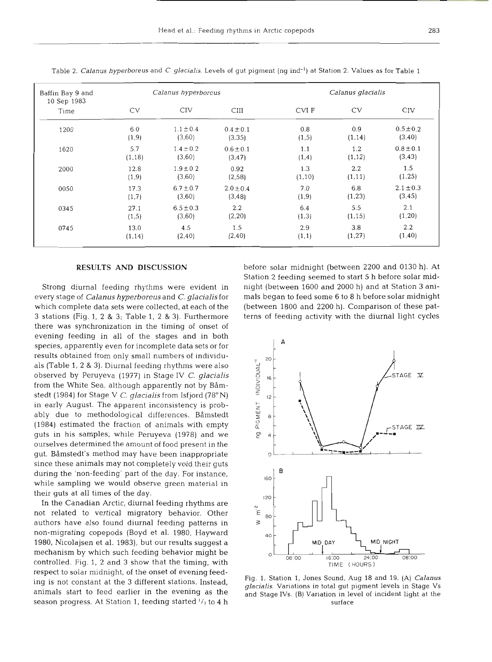| Baffin Bay 9 and<br>10 Sep 1983 |         | Calanus hyperboreus |               |         | Calanus glacialis |               |
|---------------------------------|---------|---------------------|---------------|---------|-------------------|---------------|
| Time                            | CV      | <b>CIV</b>          | <b>CIII</b>   | CVI F   | CV                | <b>CIV</b>    |
| 1200                            | 6.0     | $1.1 \pm 0.4$       | $0.4 \pm 0.1$ | 0.8     | 0.9               | $0.5 \pm 0.2$ |
|                                 | (1, 9)  | (3,60)              | (3, 35)       | (1,5)   | (1, 14)           | (3, 40)       |
| 1620                            | 5.7     | $1.4 \pm 0.2$       | $0.6 \pm 0.1$ | 1.1     | 1.2               | $0.8 \pm 0.1$ |
|                                 | (1, 18) | (3,60)              | (3, 47)       | (1,4)   | (1, 12)           | (3, 43)       |
| 2000                            | 12.8    | $1.9 \pm 0.2$       | 0.92          | 1.3     | 2.2               | 1.5           |
|                                 | (1, 9)  | (3,60)              | (2, 58)       | (1, 10) | (1, 11)           | (1, 25)       |
| 0050                            | 17.3    | $6.7 \pm 0.7$       | $2.0 \pm 0.4$ | 7.0     | 6.8               | $2.1 \pm 0.3$ |
|                                 | (1,7)   | (3,60)              | (3, 48)       | (1, 9)  | (1, 23)           | (3, 45)       |
| 0345                            | 27.1    | $6.5 \pm 0.3$       | $2.2\,$       | 6.4     | 5.5               | 2.1           |
|                                 | (1,5)   | (3,60)              | (2, 20)       | (1,3)   | (1, 15)           | (1, 20)       |
| 0745                            | 13.0    | 4.5                 | 1.5           | 2.9     | 3.8               | 2.2           |
|                                 | (1, 14) | (2, 40)             | (2, 40)       | (1,1)   | (1,27)            | (1, 40)       |

Table **2.** *Calanus hyperboreus* and *C. glacialis.* Levels **of** gut pigment (ng ind-l) at Station **2.** Values as for Table 1

every stage of Calanus hyperboreus and C. glacialis for mals began to feed some 6 to 8 h before solar midnight which complete data sets were collected, at each of the (between 1800 and 2200 h). Comparison of these pat-3 stations (Fig. 1, 2 & 3; Table 1, **2** & 3). Furthermore terns of feeding activity with the diurnal light cycles there was synchronization in the timing of onset of evening feeding in all of the stages and in both species, apparently even for incomplete data sets or for results obtained from only small numbers of individuals (Table 1, 2 & 3). Diurnal feeding rhythms were also observed by Peruyeva (1977) in Stage **IV** C. glacialis from the White Sea, although apparently not by Båmstedt (1984) for Stage **V** C, glacialis from Isfjord (78"N) in early August. The apparent inconsistency is probably due to methodological differences. Båmstedt (1984) estimated the fraction of animals with empty guts in his samples, while Peruyeva (1978) and we ourselves determined the amount of food present in the gut. Båmstedt's method may have been inappropriate since these animals may not completely void their guts during the 'non-feeding' part of the day. For instance, while sampling we would observe green material in their guts at all times of the day.

In the Canadian Arctic, diurnal feeding rhythms are not related to vertical migratory behavior. Other authors have also found diurnal feeding patterns in non-migrating copepods (Boyd et al. 1980, Hayward 1980, Nicolajsen et al. 1983), but our results suggest a mechanism by which such feeding behavior might be controlled. Fig. 1, 2 and 3 show that the timing, with respect to solar midnight, of the onset of evening feeding is not constant at the 3 different stations. Instead, animals start to feed earlier in the evening as the season progress. At Station 1, feeding started  $\frac{1}{2}$  to 4 h

**RESULTS AND DISCUSSION** before solar midnight (between 2200 and 0130 h). At Station 2 feeding seemed to start 5 h before solar mid-Strong diurnal feeding rhythms were evident in night (between 1600 and 2000 h) and at Station 3 ani-



Fig. 1. Station 1, Jones Sound, Aug 18 and 19. (A) *Calanus glacialis.* Variations in total gut pigment levels in Stage Vs and Stage IVs. (B) Variation in level of incident light at the surface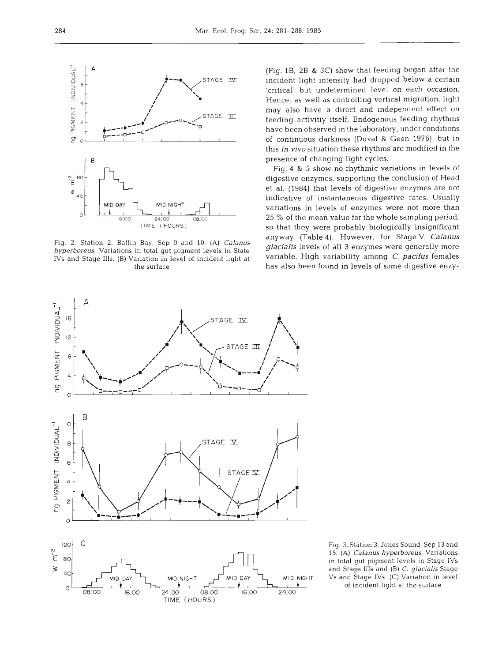

Fig. **2.** Station **2,** Baffin Bay, Sep 9 and 10. (A) **Calanus**  *hyperboreus.* Variations in total gut pigment levels in State IVs and Stage 111s. (B) Variation in level of incident light at the surface

(Fig. lB, 2B & *3C)* show that feeding began after the incident light intensity had dropped below a certain 'critical' but undetermined level on each occasion. Hence, as well as controlling vertical migration, light may also have a direct and independent effect on feeding activitiy itself. Endogenous feeding rhythms have been observed in the laboratory, under conditions of continuous darkness (Duval & Geen **1976),** but in this *in vivo* situation these rhythms are modified in the presence of changing light cycles.

Fig. 4 & 5 show no rhythmic variations in levels of digestive enzymes, supporting the conclusion of Head et al. (1984) that levels of digestive enzymes are not indicative of instantaneous digestive rates. Usually variations in levels of enzymes were not more than 25 % of the mean value for the whole sampling period, so that they were probably biologically insignificant anyway (Table **4).** However, for Stage V *Calanus glacialis* levels of all 3 enzymes were generally more variable. High variability among C. *pacifus* females has also been found in levels of some digestive enzy-



Fig. 3. Station **3,** Jones Sound, Sep 13 and 15. (A) *Calanus hyperboreus*. Variations in total gut pigment levels in Stage IVs and Stage 111s and (B) C. *glacialis* Stage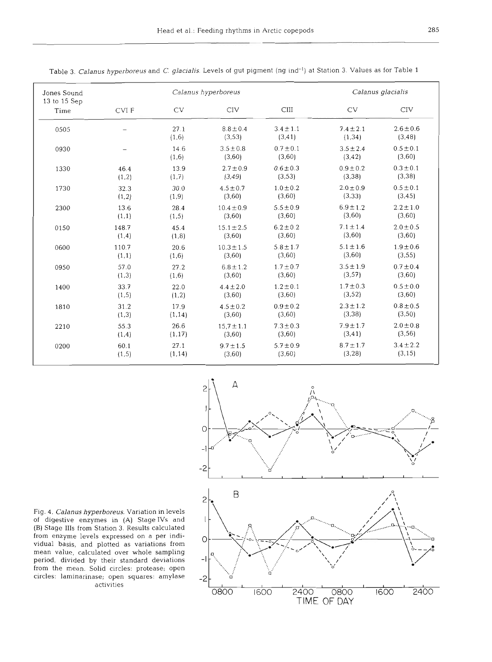| Jones Sound          |       | Calanus hyperboreus |                          |                          |                          | Calanus glacialis        |  |
|----------------------|-------|---------------------|--------------------------|--------------------------|--------------------------|--------------------------|--|
| 13 to 15 Sep<br>Time | CVI F | <b>CV</b>           | CIV                      | <b>CIII</b>              | <b>CV</b>                | CIV                      |  |
| 0505                 |       | 27.1<br>(1,6)       | $8.8 \pm 0.4$<br>(3, 53) | $3.4 \pm 1.1$<br>(3, 41) | $7.4 \pm 2.1$<br>(1, 34) | $2.6 \pm 0.6$<br>(3, 48) |  |
| 0930                 |       | 14.6<br>(1,6)       | $3.5 \pm 0.8$<br>(3,60)  | $0.7 \pm 0.1$<br>(3,60)  | $3.5 \pm 2.4$<br>(3, 42) | $0.5 \pm 0.1$<br>(3,60)  |  |
| 1330                 | 46.4  | 13.9                | $2.7 \pm 0.9$            | $0.6 \pm 0.3$            | $0.9 \pm 0.2$            | $0.3 \pm 0.1$            |  |
|                      | (1,2) | (1,7)               | (3, 49)                  | (3,53)                   | (3, 38)                  | (3, 38)                  |  |
| 1730                 | 32.3  | 30.0                | $4.5 \pm 0.7$            | $1.0 \pm 0.2$            | $2.0 \pm 0.9$            | $0.5 \pm 0.1$            |  |
|                      | (1,2) | (1, 9)              | (3,60)                   | (3,60)                   | (3, 33)                  | (3, 45)                  |  |
| 2300                 | 13.6  | 28.4                | $10.4 \pm 0.9$           | $5.5 \pm 0.9$            | $6.9 \pm 1.2$            | $2.2 \pm 1.0$            |  |
|                      | (1,1) | (1,5)               | (3,60)                   | (3,60)                   | (3,60)                   | (3,60)                   |  |
| 0150                 | 148.7 | 45.4                | $15.1 \pm 2.5$           | $6.2 \pm 0.2$            | $7.1 \pm 1.4$            | $2.0 \pm 0.5$            |  |
|                      | (1,4) | (1,8)               | (3,60)                   | (3,60)                   | (3,60)                   | (3,60)                   |  |
| 0600                 | 110.7 | 20.6                | $10.3 \pm 1.5$           | $5.8 \pm 1.7$            | $5.1 \pm 1.6$            | $1.9 \pm 0.6$            |  |
|                      | (1,1) | (1,6)               | (3,60)                   | (3,60)                   | (3,60)                   | (3, 55)                  |  |
| 0950                 | 57.0  | 27.2                | $6.8 \pm 1.2$            | $1.7 \pm 0.7$            | $3.5 \pm 1.9$            | $0.7 \pm 0.4$            |  |
|                      | (1,3) | (1,6)               | (3,60)                   | (3,60)                   | (3, 57)                  | (3,60)                   |  |
| 1400                 | 33.7  | 22.0                | $4.4 \pm 2.0$            | $1.2 \pm 0.1$            | $1.7 \pm 0.3$            | $0.5 \pm 0.0$            |  |
|                      | (1,5) | (1,2)               | (3,60)                   | (3,60)                   | (3,52)                   | (3,60)                   |  |
| 1810                 | 31.2  | 17.9                | $4.5 \pm 0.2$            | $0.9 \pm 0.2$            | $2.3 \pm 1.2$            | $0.8 \pm 0.5$            |  |
|                      | (1,3) | (1, 14)             | (3,60)                   | (3,60)                   | (3, 38)                  | (3,50)                   |  |
| 2210                 | 55.3  | 26.6                | $15.7 \pm 1.1$           | $7.3 \pm 0.3$            | $7.9 \pm 1.7$            | $2.0 \pm 0.8$            |  |
|                      | (1,4) | (1, 17)             | (3,60)                   | (3,60)                   | (3, 41)                  | (3, 56)                  |  |
| 0200                 | 60.1  | 27.1                | $9.7 \pm 1.5$            | $5.7 \pm 0.9$            | $8.7 \pm 1.7$            | $3.4 \pm 2.2$            |  |
|                      | (1,5) | (1, 14)             | (3,60)                   | (3,60)                   | (3, 28)                  | (3, 15)                  |  |

Table 3. *Calanus hyperboreus* and *C. glacialis.* Levels of gut pigment (ng ind-l) at Station 3. Values as for Table 1



Fig. 4. *Calanus hyperboreus.* Variation in levels of digestive enzymes in (A) StageIVs and (B) Stage 111s from Station 3. Results calculated from enzyme levels expressed on a per individual basis, and plotted as variations from mean value, calculated over whole sampling period, divided by their standard deviations from the mean. Solid circles: protease; open circles: laminarinase; open squares: amylase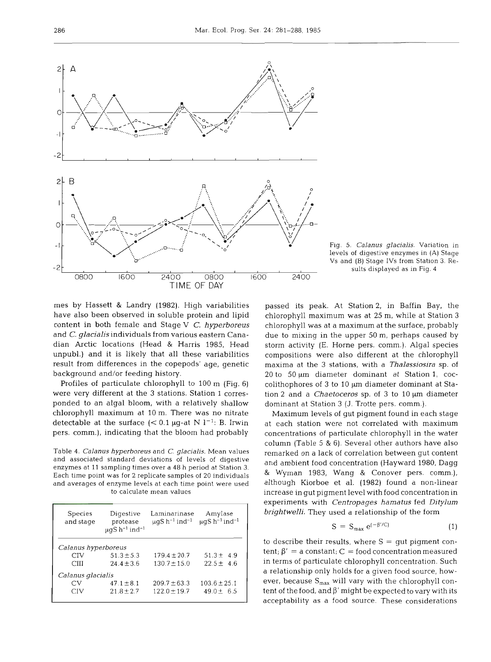

Fig. 5. *Calanus glacialis.* Variation in levels of digestive enzymes in (A) Stage Vs and (B) Stage IVs from Station **3.** Results displayed as in Fig. 4

mes by Hassett & Landry (1982). High variabilities have also been observed in soluble protein and lipid content in both female and Stage V *C. hyperboreus*  and *C. glacialis* individuals from various eastern Canadian Arctic locations (Head & Harris 1985, Head unpubl.) and it is likely that all these variabilities result from differences in the copepods' age, genetic background and/or feeding history.

Profiles of particulate chlorophyll to 100 m (Fig. **6)**  were very different at the **3** stations. Station 1 corresponded to an algal bloom, with a relatively shallow chlorophyll maximum at 10 m. There was no nitrate detectable at the surface  $(< 0.1 \mu g$ -at N l<sup>-1</sup>: B. Irwin pers. comm.), indicating that the bloom had probably

Table 4. *Calanus hyperboreus* and *C. glacialis.* Mean values and associated standard deviations of levels of digestive enzymes at 11 sampling times over a 48 h period at Station 3. Each time point was for 2 replicate samples of 20 individuals and averages of enzyme levels at each time point were used to calculate mean values

| Species<br>and stage | Digestive<br>protease<br>$\mu$ gS h <sup>-1</sup> ind <sup>-1</sup> | Laminarinase<br>$\mu$ gS h <sup>-1</sup> ind <sup>-1</sup> | Amylase<br>$\mu$ qS h <sup>-1</sup> ind <sup>-1</sup> |
|----------------------|---------------------------------------------------------------------|------------------------------------------------------------|-------------------------------------------------------|
| Calanus hyperboreus  |                                                                     |                                                            |                                                       |
| CIV                  | $51.3 \pm 5.3$                                                      | $179.4 \pm 20.7$                                           | $51.3 \pm 4.9$                                        |
| <b>CIII</b>          | $24.4 \pm 3.6$                                                      | $130.7 + 15.0$                                             | $22.5 \pm 4.6$                                        |
| Calanus glacialis    |                                                                     |                                                            |                                                       |
| CV                   | $47.1 \pm 8.1$                                                      | $209.7 + 63.3$                                             | $103.6 \pm 25.1$                                      |
| CIV                  | $21.8 + 2.7$                                                        | $122.0 \pm 19.7$                                           | $49.0 \pm 6.5$                                        |

passed its peak. At Station 2, in Baffin Bay, the chlorophyll maximum was at 25 m, while at Station 3 chlorophyll was at a maximum at the surface, probably due to mixing in the upper 50 m, perhaps caused by storm activity (E. Horne pers. comm.). Algal species compositions were also different at the chlorophyll maxima at the **3** stations, with a *Thalassiosira* sp. of 20 to  $50 \mu m$  diameter dominant at Station 1, coccolithophores of 3 to 10 µm diameter dominant at Station 2 and a *Chaetoceros* sp. of **3** to 10 pm diameter dominant at Station **3** (J. Trotte pers. comm.).

Maximum levels of gut pigment found in each stage at each station were not correlated with maximum concentrations of particulate chlorophyll in the water column (Table **5** & 6). Several other authors have also remarked on a lack of correlation between gut content and ambient food concentration (Hayward 1980, Dagg & Wyman 1983, Wang & Conover pers. comm.), although Kiorboe et al. (1982) found a non-linear increase in gut pigment level with food concentration in experiments with *Centropages hamatus* fed *Ditylum brightwelli.* They used a relationship of the form

$$
S = S_{\text{max}} e^{(-\beta'/C)} \tag{1}
$$

to describe their results, where  $S = \text{gut pigment con-}$ tent;  $\beta' = a$  constant; C = food concentration measured in terms of particulate chlorophyll concentration. Such a relationship only holds for a given food source, however, because  $S_{max}$  will vary with the chlorophyll content of the food, and **P'** might be expected to vary with its acceptability as a food source. These considerations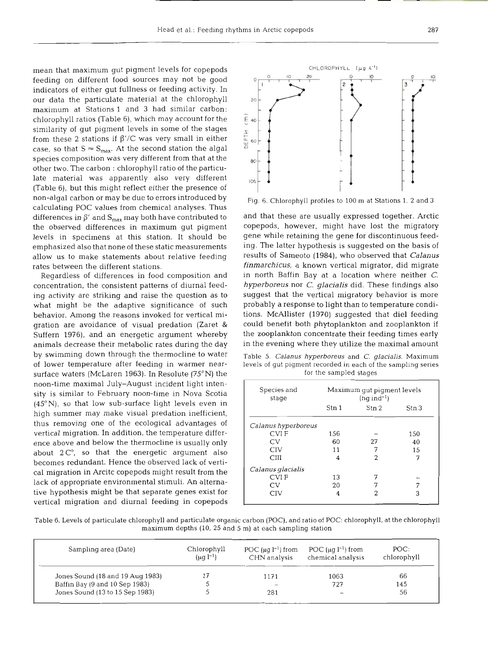mean that maximum gut pigment levels for copepods feeding on different food sources may not be good indicators of either gut fullness or feeding activity. In our data the particulate material at the chlorophyll maximum at Stations l and **3** had similar carbon: chlorophyll ratios (Table 6), which may account for the similarity of gut pigment levels in some of the stages from these 2 stations if  $\beta$ '/C was very small in either case, so that  $S \approx S_{\text{max}}$ . At the second station the algal species composition was very different from that at the other two. The carbon : chlorophyll ratio of the particulate material was apparently also very different (Table 6), but this might reflect either the presence of non-algal carbon or may be due to errors introduced by calculating POC values from chemical analyses. Thus differences in  $\beta'$  and  $S_{max}$  may both have contributed to the observed differences in maximum gut pigment levels in specimens at this station. It should be emphasized also that none of these static measurements allow us to make statements about relative feeding rates between the different statio

Regardless of differences in food composition and concentration, the consistent patterns of diurnal feeding activity are striking and raise the question as to what might be the adaptive significance of such behavior. Among the reasons invoked for vertical migration are avoidance of visual predation (Zaret & Suffem 1976), and an energetic argument whereby animals decrease their metabolic rates during the day by swimming down through the thermocline to water of lower temperature after feeding in warmer nearsurface waters (McLaren 1963). In Resolute (75°N) the noon-time maximal July-August incident light intensity is similar to February noon-time in Nova Scotia **(45"N),** so that low sub-surface light levels even in high summer may make visual predation inefficient, thus removing one of the ecological advantages of vertical migration. In addition, the temperature difference above and below the thermocline is usually only about  $2C^{\circ}$ , so that the energetic argument also becomes redundant. Hence the observed lack of vertical migration in Arcitc copepods might result from the lack of appropriate environmental stimuli. An alternative hypothesis might be that separate genes exist for vertical migration and diurnal feeding in copepods



Fig. 6. Chlorophyll profiles to 100 m at Stations 1, **2** and 3

and that these are usually expressed together. Arctic copepods, however, might have lost the migratory gene while retaining the gene for discontinuous feeding. The latter hypothesis is suggested on the basis of results of Sameoto (1984), who observed that *Calanus finmarchicus,* a known vertical migrator, did migrate in north Baffin Bay at a location where neither *C. hyperboreus* nor *C. glacialis* did. These findings also suggest that the vertical migratory behavior is more probably a response to light than to temperature conditions. McAllister (1970) suggested that die1 feeding could benefit both phytoplankton and zooplankton if the zooplankton concentrate their feeding times early in the evening where they utilize the maximal amount

Table **5.** *Calanus hyperboreus* and *C. glacialis.* Maximum levels of gut pigment recorded in each of the sampling series for the sampled stages

| Species and<br>stage |       | Maximum qut piqment levels<br>$(nq$ ind <sup>-1</sup> ) |       |
|----------------------|-------|---------------------------------------------------------|-------|
|                      | Stn 1 | $\operatorname{Stn} 2$                                  | Stn 3 |
| Calanus hyperboreus  |       |                                                         |       |
| <b>CVIF</b>          | 156   |                                                         | 150   |
| <b>CV</b>            | 60    | 27                                                      | 40    |
| <b>CIV</b>           | 11    |                                                         | 15    |
| CIII                 | 4     | $\mathcal{D}$                                           |       |
| Calanus glacialis    |       |                                                         |       |
| <b>CVIF</b>          | 13    |                                                         |       |
| CV                   | 20    |                                                         |       |
| <b>CIV</b>           |       |                                                         | 3     |

Table 6. Levels of particulate chlorophyll and particulate organic carbon (POC), and ratio of POC: chlorophyll, at the chlorophyll maximum depths (10. 25 and 5 m) at each sampling station

| Sampling area (Date)             | Chlorophyll<br>$(\mu q l^{-1})$ | POC $(\mu q l^{-1})$ from<br>CHN analysis | POC $(\mu q l^{-1})$ from<br>chemical analysis | POC:<br>chlorophyll |
|----------------------------------|---------------------------------|-------------------------------------------|------------------------------------------------|---------------------|
| Jones Sound (18 and 19 Aug 1983) |                                 | 1171                                      | 1063                                           | 66                  |
| Baffin Bay (9 and 10 Sep 1983)   |                                 |                                           | 727                                            | 145                 |
| Jones Sound (13 to 15 Sep 1983)  |                                 | 281                                       |                                                | 56                  |